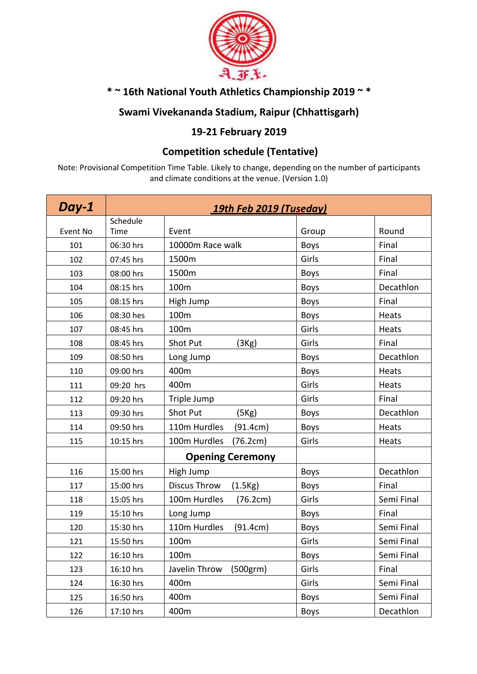

### **\* ~ 16th National Youth Athletics Championship 2019 ~ \***

#### **Swami Vivekananda Stadium, Raipur (Chhattisgarh)**

### **19-21 February 2019**

#### **Competition schedule (Tentative)**

Note: Provisional Competition Time Table. Likely to change, depending on the number of participants and climate conditions at the venue. (Version 1.0)

| Day-1    | 19th Feb 2019 (Tuseday) |                                        |             |            |  |
|----------|-------------------------|----------------------------------------|-------------|------------|--|
|          | Schedule                |                                        |             |            |  |
| Event No | Time                    | Event                                  | Group       | Round      |  |
| 101      | 06:30 hrs               | 10000m Race walk                       | <b>Boys</b> | Final      |  |
| 102      | 07:45 hrs               | 1500m                                  | Girls       | Final      |  |
| 103      | 08:00 hrs               | 1500m                                  | <b>Boys</b> | Final      |  |
| 104      | 08:15 hrs               | 100m                                   | <b>Boys</b> | Decathlon  |  |
| 105      | 08:15 hrs               | High Jump                              | <b>Boys</b> | Final      |  |
| 106      | 08:30 hes               | 100m                                   | <b>Boys</b> | Heats      |  |
| 107      | 08:45 hrs               | 100m                                   | Girls       | Heats      |  |
| 108      | 08:45 hrs               | <b>Shot Put</b><br>(3Kg)               | Girls       | Final      |  |
| 109      | 08:50 hrs               | Long Jump                              | <b>Boys</b> | Decathlon  |  |
| 110      | 09:00 hrs               | 400m                                   | <b>Boys</b> | Heats      |  |
| 111      | 09:20 hrs               | 400m                                   | Girls       | Heats      |  |
| 112      | 09:20 hrs               | Triple Jump                            | Girls       | Final      |  |
| 113      | 09:30 hrs               | <b>Shot Put</b><br>(5Kg)               | <b>Boys</b> | Decathlon  |  |
| 114      | 09:50 hrs               | 110m Hurdles<br>(91.4cm)               | <b>Boys</b> | Heats      |  |
| 115      | 10:15 hrs               | 100m Hurdles<br>(76.2cm)               | Girls       | Heats      |  |
|          |                         | <b>Opening Ceremony</b>                |             |            |  |
| 116      | 15:00 hrs               | High Jump                              | <b>Boys</b> | Decathlon  |  |
| 117      | 15:00 hrs               | Discus Throw<br>(1.5Kg)                | <b>Boys</b> | Final      |  |
| 118      | 15:05 hrs               | 100m Hurdles<br>(76.2cm)               | Girls       | Semi Final |  |
| 119      | 15:10 hrs               | Long Jump                              | <b>Boys</b> | Final      |  |
| 120      | 15:30 hrs               | 110m Hurdles<br>(91.4cm)               | <b>Boys</b> | Semi Final |  |
| 121      | 15:50 hrs               | 100m                                   | Girls       | Semi Final |  |
| 122      | 16:10 hrs               | 100m                                   | <b>Boys</b> | Semi Final |  |
| 123      | 16:10 hrs               | Javelin Throw<br>(500 <sub>gr</sub> m) | Girls       | Final      |  |
| 124      | 16:30 hrs               | 400m                                   | Girls       | Semi Final |  |
| 125      | 16:50 hrs               | 400m                                   | <b>Boys</b> | Semi Final |  |
| 126      | 17:10 hrs               | 400m                                   | <b>Boys</b> | Decathlon  |  |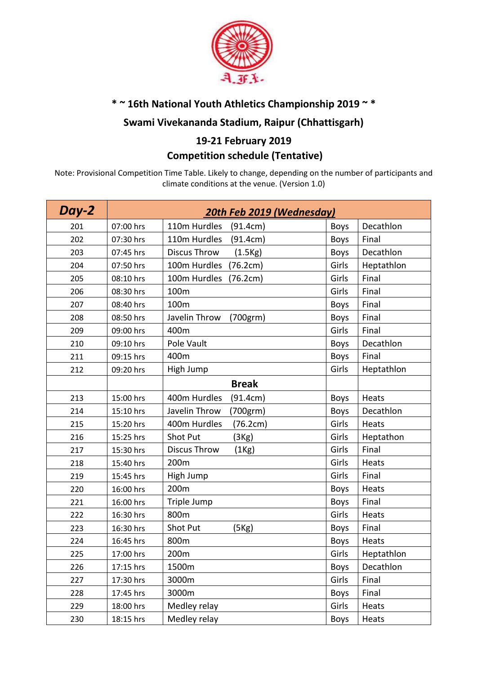

# **\* ~ 16th National Youth Athletics Championship 2019 ~ \***

### **Swami Vivekananda Stadium, Raipur (Chhattisgarh)**

### **19-21 February 2019 Competition schedule (Tentative)**

Note: Provisional Competition Time Table. Likely to change, depending on the number of participants and climate conditions at the venue. (Version 1.0)

| Day-2 | 20th Feb 2019 (Wednesday) |                                        |             |            |  |
|-------|---------------------------|----------------------------------------|-------------|------------|--|
| 201   | 07:00 hrs                 | 110m Hurdles<br>(91.4cm)               | <b>Boys</b> | Decathlon  |  |
| 202   | 07:30 hrs                 | 110m Hurdles<br>(91.4cm)               | <b>Boys</b> | Final      |  |
| 203   | 07:45 hrs                 | <b>Discus Throw</b><br>(1.5Kg)         | <b>Boys</b> | Decathlon  |  |
| 204   | 07:50 hrs                 | 100m Hurdles<br>(76.2cm)               | Girls       | Heptathlon |  |
| 205   | 08:10 hrs                 | 100m Hurdles<br>(76.2cm)               | Girls       | Final      |  |
| 206   | 08:30 hrs                 | 100m                                   | Girls       | Final      |  |
| 207   | 08:40 hrs                 | 100m                                   | <b>Boys</b> | Final      |  |
| 208   | 08:50 hrs                 | Javelin Throw<br>(700 <sub>gr</sub> m) | <b>Boys</b> | Final      |  |
| 209   | 09:00 hrs                 | 400m                                   | Girls       | Final      |  |
| 210   | 09:10 hrs                 | Pole Vault                             | <b>Boys</b> | Decathlon  |  |
| 211   | 09:15 hrs                 | 400m                                   | <b>Boys</b> | Final      |  |
| 212   | 09:20 hrs                 | High Jump                              | Girls       | Heptathlon |  |
|       |                           | <b>Break</b>                           |             |            |  |
| 213   | 15:00 hrs                 | 400m Hurdles<br>(91.4cm)               | <b>Boys</b> | Heats      |  |
| 214   | 15:10 hrs                 | Javelin Throw<br>(700grm)              | <b>Boys</b> | Decathlon  |  |
| 215   | 15:20 hrs                 | 400m Hurdles<br>(76.2cm)               | Girls       | Heats      |  |
| 216   | 15:25 hrs                 | Shot Put<br>(3Kg)                      | Girls       | Heptathon  |  |
| 217   | 15:30 hrs                 | <b>Discus Throw</b><br>(1Kg)           | Girls       | Final      |  |
| 218   | 15:40 hrs                 | 200m                                   | Girls       | Heats      |  |
| 219   | 15:45 hrs                 | High Jump                              | Girls       | Final      |  |
| 220   | 16:00 hrs                 | 200m                                   | <b>Boys</b> | Heats      |  |
| 221   | 16:00 hrs                 | Triple Jump                            | <b>Boys</b> | Final      |  |
| 222   | 16:30 hrs                 | 800m                                   | Girls       | Heats      |  |
| 223   | 16:30 hrs                 | Shot Put<br>(5Kg)                      | <b>Boys</b> | Final      |  |
| 224   | 16:45 hrs                 | 800m                                   | <b>Boys</b> | Heats      |  |
| 225   | 17:00 hrs                 | 200m                                   | Girls       | Heptathlon |  |
| 226   | 17:15 hrs                 | 1500m                                  | <b>Boys</b> | Decathlon  |  |
| 227   | 17:30 hrs                 | 3000m                                  | Girls       | Final      |  |
| 228   | 17:45 hrs                 | 3000m                                  | <b>Boys</b> | Final      |  |
| 229   | 18:00 hrs                 | Medley relay                           | Girls       | Heats      |  |
| 230   | 18:15 hrs                 | Medley relay                           | <b>Boys</b> | Heats      |  |